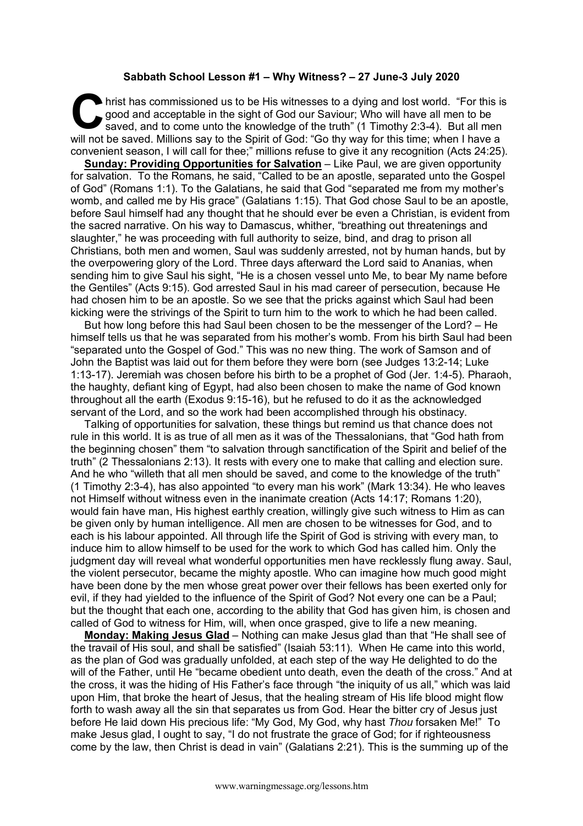## **Sabbath School Lesson #1 – Why Witness? – 27 June-3 July 2020**

hrist has commissioned us to be His witnesses to a dying and lost world. "For this is good and acceptable in the sight of God our Saviour; Who will have all men to be saved, and to come unto the knowledge of the truth" (1 Timothy 2:3-4). But all men hrist has commissioned us to be His witnesses to a dying and lost world. "For this is good and acceptable in the sight of God our Saviour; Who will have all men to be saved, and to come unto the knowledge of the truth" (1 convenient season, I will call for thee;" millions refuse to give it any recognition (Acts 24:25).

**Sunday: Providing Opportunities for Salvation** – Like Paul, we are given opportunity for salvation. To the Romans, he said, "Called to be an apostle, separated unto the Gospel of God" (Romans 1:1). To the Galatians, he said that God "separated me from my mother's womb, and called me by His grace" (Galatians 1:15). That God chose Saul to be an apostle, before Saul himself had any thought that he should ever be even a Christian, is evident from the sacred narrative. On his way to Damascus, whither, "breathing out threatenings and slaughter," he was proceeding with full authority to seize, bind, and drag to prison all Christians, both men and women, Saul was suddenly arrested, not by human hands, but by the overpowering glory of the Lord. Three days afterward the Lord said to Ananias, when sending him to give Saul his sight, "He is a chosen vessel unto Me, to bear My name before the Gentiles" (Acts 9:15). God arrested Saul in his mad career of persecution, because He had chosen him to be an apostle. So we see that the pricks against which Saul had been kicking were the strivings of the Spirit to turn him to the work to which he had been called.

But how long before this had Saul been chosen to be the messenger of the Lord? – He himself tells us that he was separated from his mother's womb. From his birth Saul had been "separated unto the Gospel of God." This was no new thing. The work of Samson and of John the Baptist was laid out for them before they were born (see Judges 13:2-14; Luke 1:13-17). Jeremiah was chosen before his birth to be a prophet of God (Jer. 1:4-5). Pharaoh, the haughty, defiant king of Egypt, had also been chosen to make the name of God known throughout all the earth (Exodus 9:15-16), but he refused to do it as the acknowledged servant of the Lord, and so the work had been accomplished through his obstinacy.

Talking of opportunities for salvation, these things but remind us that chance does not rule in this world. It is as true of all men as it was of the Thessalonians, that "God hath from the beginning chosen" them "to salvation through sanctification of the Spirit and belief of the truth" (2 Thessalonians 2:13). It rests with every one to make that calling and election sure. And he who "willeth that all men should be saved, and come to the knowledge of the truth" (1 Timothy 2:3-4), has also appointed "to every man his work" (Mark 13:34). He who leaves not Himself without witness even in the inanimate creation (Acts 14:17; Romans 1:20), would fain have man, His highest earthly creation, willingly give such witness to Him as can be given only by human intelligence. All men are chosen to be witnesses for God, and to each is his labour appointed. All through life the Spirit of God is striving with every man, to induce him to allow himself to be used for the work to which God has called him. Only the judgment day will reveal what wonderful opportunities men have recklessly flung away. Saul, the violent persecutor, became the mighty apostle. Who can imagine how much good might have been done by the men whose great power over their fellows has been exerted only for evil, if they had yielded to the influence of the Spirit of God? Not every one can be a Paul; but the thought that each one, according to the ability that God has given him, is chosen and called of God to witness for Him, will, when once grasped, give to life a new meaning.

**Monday: Making Jesus Glad** – Nothing can make Jesus glad than that "He shall see of the travail of His soul, and shall be satisfied" (Isaiah 53:11). When He came into this world, as the plan of God was gradually unfolded, at each step of the way He delighted to do the will of the Father, until He "became obedient unto death, even the death of the cross." And at the cross, it was the hiding of His Father's face through "the iniquity of us all," which was laid upon Him, that broke the heart of Jesus, that the healing stream of His life blood might flow forth to wash away all the sin that separates us from God. Hear the bitter cry of Jesus just before He laid down His precious life: "My God, My God, why hast *Thou* forsaken Me!" To make Jesus glad, I ought to say, "I do not frustrate the grace of God; for if righteousness come by the law, then Christ is dead in vain" (Galatians 2:21). This is the summing up of the